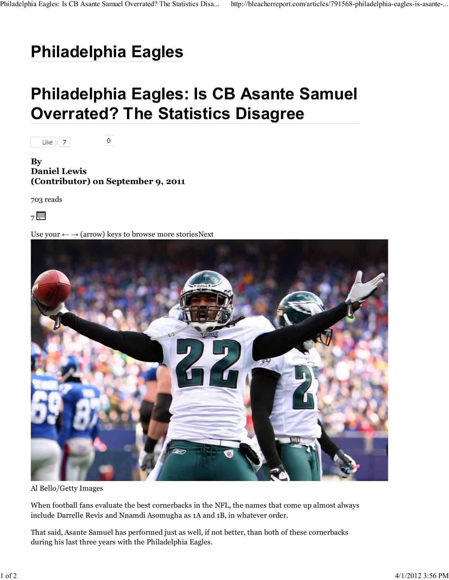## **Philadelphia Eagles**

## **Philadelphia Eagles: Is CB Asante Samuel Overrated? The Statistics Disagree**



**By Daniel Lewis (Contributor) on September 9, 2011**

 $\mathsf{O}$ 

703 reads



Use your  $\leftarrow \rightarrow$  (arrow) keys to browse more storiesNext



Al Bello/Getty Images

When football fans evaluate the best cornerbacks in the NFL, the names that come up almost always include Darrelle Revis and Nnamdi Asomugha as 1A and 1B, in whatever order.

That said, Asante Samuel has performed just as well, if not better, than both of these cornerbacks during his last three years with the Philadelphia Eagles.